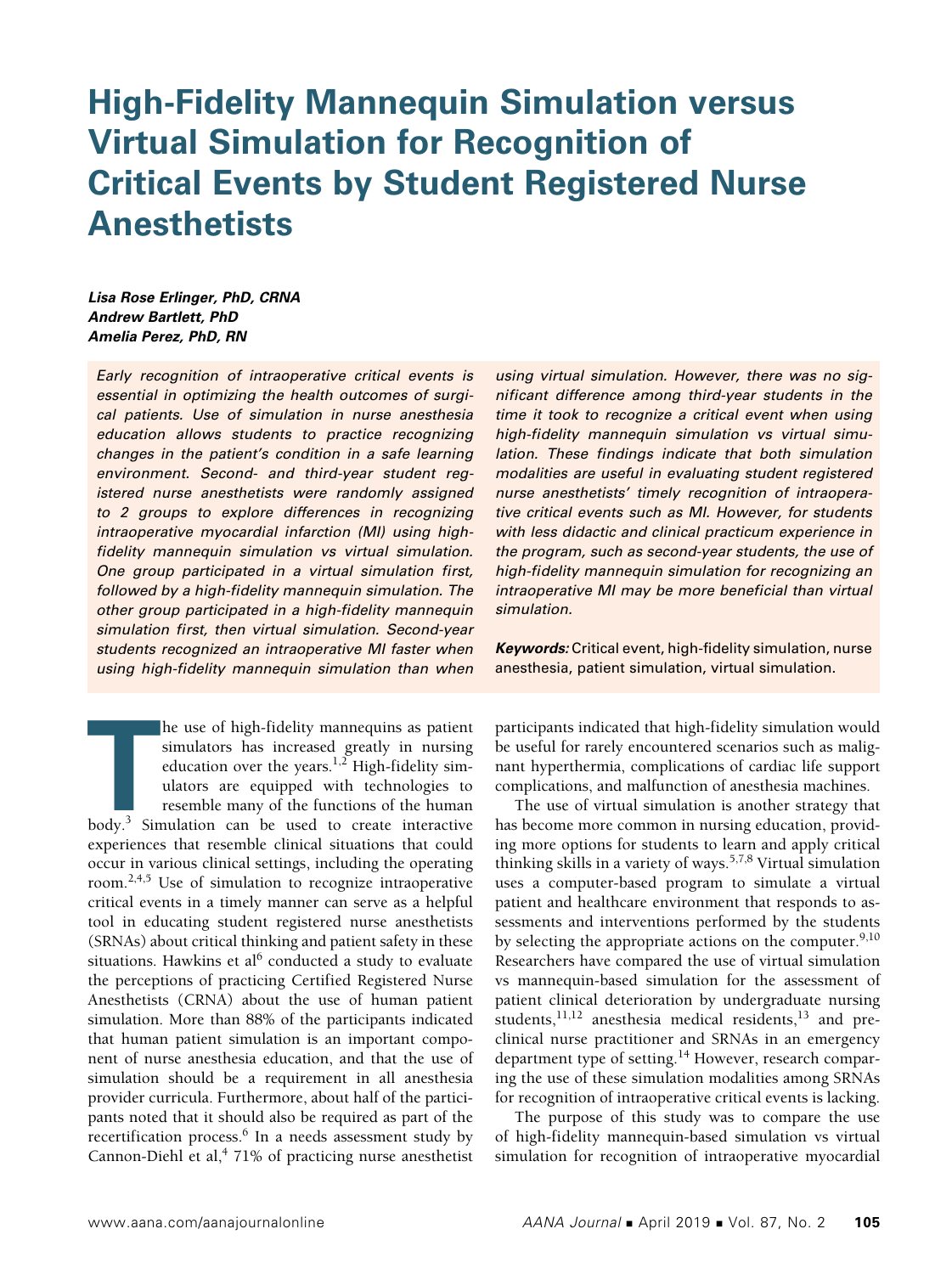# **High-Fidelity Mannequin Simulation versus Virtual Simulation for Recognition of Critical Events by Student Registered Nurse Anesthetists**

*Lisa Rose Erlinger, PhD, CRNA Andrew Bartlett, PhD Amelia Perez, PhD, RN* 

*Early recognition of intraoperative critical events is essential in optimizing the health outcomes of surgical patients. Use of simulation in nurse anesthesia education allows students to practice recognizing changes in the patient's condition in a safe learning environment. Second- and third-year student registered nurse anesthetists were randomly assigned to 2 groups to explore differences in recognizing intraoperative myocardial infarction (MI) using highfidelity mannequin simulation vs virtual simulation. One group participated in a virtual simulation first, followed by a high-fidelity mannequin simulation. The other group participated in a high-fidelity mannequin simulation first, then virtual simulation. Second-year students recognized an intraoperative MI faster when using high-fidelity mannequin simulation than when* 

**THE ENEX CHENGE IN EXERCT AND THE USE OF SIMULATION SIMULATION CONTROLLED SIMULATION CONTROLLED THE UPPER SUBSEDIARY OF SEE THE UPPER THE UPPER SIMULATION CONTROLLED THE UPPER SIMULATION CAN BE USED TO CREAT SIMULATION CA** he use of high-fidelity mannequins as patient simulators has increased greatly in nursing education over the years.<sup>1,2</sup> High-fidelity simulators are equipped with technologies to resemble many of the functions of the human experiences that resemble clinical situations that could occur in various clinical settings, including the operating room.2,4,5 Use of simulation to recognize intraoperative critical events in a timely manner can serve as a helpful tool in educating student registered nurse anesthetists (SRNAs) about critical thinking and patient safety in these situations. Hawkins et al $6$  conducted a study to evaluate the perceptions of practicing Certified Registered Nurse Anesthetists (CRNA) about the use of human patient simulation. More than 88% of the participants indicated that human patient simulation is an important component of nurse anesthesia education, and that the use of simulation should be a requirement in all anesthesia provider curricula. Furthermore, about half of the participants noted that it should also be required as part of the recertification process.<sup>6</sup> In a needs assessment study by Cannon-Diehl et al,<sup>4</sup> 71% of practicing nurse anesthetist *using virtual simulation. However, there was no significant difference among third-year students in the time it took to recognize a critical event when using high-fidelity mannequin simulation vs virtual simulation. These findings indicate that both simulation modalities are useful in evaluating student registered nurse anesthetists' timely recognition of intraoperative critical events such as MI. However, for students with less didactic and clinical practicum experience in the program, such as second-year students, the use of high-fidelity mannequin simulation for recognizing an intraoperative MI may be more beneficial than virtual simulation.*

*Keywords:* Critical event, high-fidelity simulation, nurse anesthesia, patient simulation, virtual simulation.

participants indicated that high-fidelity simulation would be useful for rarely encountered scenarios such as malignant hyperthermia, complications of cardiac life support complications, and malfunction of anesthesia machines.

The use of virtual simulation is another strategy that has become more common in nursing education, providing more options for students to learn and apply critical thinking skills in a variety of ways.<sup>5,7,8</sup> Virtual simulation uses a computer-based program to simulate a virtual patient and healthcare environment that responds to assessments and interventions performed by the students by selecting the appropriate actions on the computer.<sup>9,10</sup> Researchers have compared the use of virtual simulation vs mannequin-based simulation for the assessment of patient clinical deterioration by undergraduate nursing students, $^{11,12}$  anesthesia medical residents, $^{13}$  and preclinical nurse practitioner and SRNAs in an emergency department type of setting.<sup>14</sup> However, research comparing the use of these simulation modalities among SRNAs for recognition of intraoperative critical events is lacking.

The purpose of this study was to compare the use of high-fidelity mannequin-based simulation vs virtual simulation for recognition of intraoperative myocardial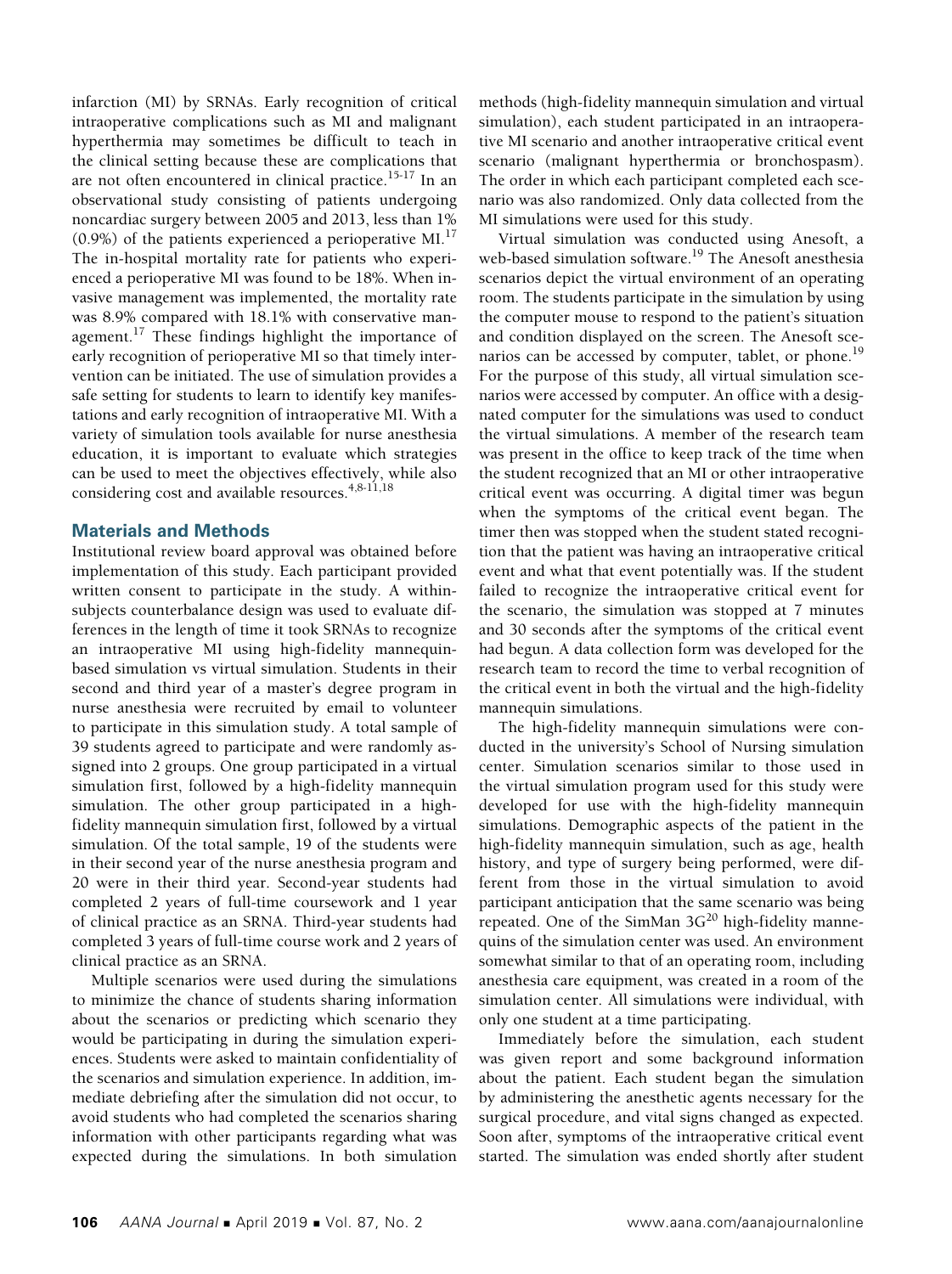infarction (MI) by SRNAs. Early recognition of critical intraoperative complications such as MI and malignant hyperthermia may sometimes be difficult to teach in the clinical setting because these are complications that are not often encountered in clinical practice.<sup>15-17</sup> In an observational study consisting of patients undergoing noncardiac surgery between 2005 and 2013, less than 1%  $(0.9\%)$  of the patients experienced a perioperative MI.<sup>17</sup> The in-hospital mortality rate for patients who experienced a perioperative MI was found to be 18%. When invasive management was implemented, the mortality rate was 8.9% compared with 18.1% with conservative management. $17$  These findings highlight the importance of early recognition of perioperative MI so that timely intervention can be initiated. The use of simulation provides a safe setting for students to learn to identify key manifestations and early recognition of intraoperative MI. With a variety of simulation tools available for nurse anesthesia education, it is important to evaluate which strategies can be used to meet the objectives effectively, while also considering cost and available resources. $4,8-11,18$ 

## **Materials and Methods**

Institutional review board approval was obtained before implementation of this study. Each participant provided written consent to participate in the study. A withinsubjects counterbalance design was used to evaluate differences in the length of time it took SRNAs to recognize an intraoperative MI using high-fidelity mannequinbased simulation vs virtual simulation. Students in their second and third year of a master's degree program in nurse anesthesia were recruited by email to volunteer to participate in this simulation study. A total sample of 39 students agreed to participate and were randomly assigned into 2 groups. One group participated in a virtual simulation first, followed by a high-fidelity mannequin simulation. The other group participated in a highfidelity mannequin simulation first, followed by a virtual simulation. Of the total sample, 19 of the students were in their second year of the nurse anesthesia program and 20 were in their third year. Second-year students had completed 2 years of full-time coursework and 1 year of clinical practice as an SRNA. Third-year students had completed 3 years of full-time course work and 2 years of clinical practice as an SRNA.

Multiple scenarios were used during the simulations to minimize the chance of students sharing information about the scenarios or predicting which scenario they would be participating in during the simulation experiences. Students were asked to maintain confidentiality of the scenarios and simulation experience. In addition, immediate debriefing after the simulation did not occur, to avoid students who had completed the scenarios sharing information with other participants regarding what was expected during the simulations. In both simulation methods (high-fidelity mannequin simulation and virtual simulation), each student participated in an intraoperative MI scenario and another intraoperative critical event scenario (malignant hyperthermia or bronchospasm). The order in which each participant completed each scenario was also randomized. Only data collected from the MI simulations were used for this study.

Virtual simulation was conducted using Anesoft, a web-based simulation software.<sup>19</sup> The Anesoft anesthesia scenarios depict the virtual environment of an operating room. The students participate in the simulation by using the computer mouse to respond to the patient's situation and condition displayed on the screen. The Anesoft scenarios can be accessed by computer, tablet, or phone.<sup>19</sup> For the purpose of this study, all virtual simulation scenarios were accessed by computer. An office with a designated computer for the simulations was used to conduct the virtual simulations. A member of the research team was present in the office to keep track of the time when the student recognized that an MI or other intraoperative critical event was occurring. A digital timer was begun when the symptoms of the critical event began. The timer then was stopped when the student stated recognition that the patient was having an intraoperative critical event and what that event potentially was. If the student failed to recognize the intraoperative critical event for the scenario, the simulation was stopped at 7 minutes and 30 seconds after the symptoms of the critical event had begun. A data collection form was developed for the research team to record the time to verbal recognition of the critical event in both the virtual and the high-fidelity mannequin simulations.

The high-fidelity mannequin simulations were conducted in the university's School of Nursing simulation center. Simulation scenarios similar to those used in the virtual simulation program used for this study were developed for use with the high-fidelity mannequin simulations. Demographic aspects of the patient in the high-fidelity mannequin simulation, such as age, health history, and type of surgery being performed, were different from those in the virtual simulation to avoid participant anticipation that the same scenario was being repeated. One of the SimMan  $3G<sup>20</sup>$  high-fidelity mannequins of the simulation center was used. An environment somewhat similar to that of an operating room, including anesthesia care equipment, was created in a room of the simulation center. All simulations were individual, with only one student at a time participating.

Immediately before the simulation, each student was given report and some background information about the patient. Each student began the simulation by administering the anesthetic agents necessary for the surgical procedure, and vital signs changed as expected. Soon after, symptoms of the intraoperative critical event started. The simulation was ended shortly after student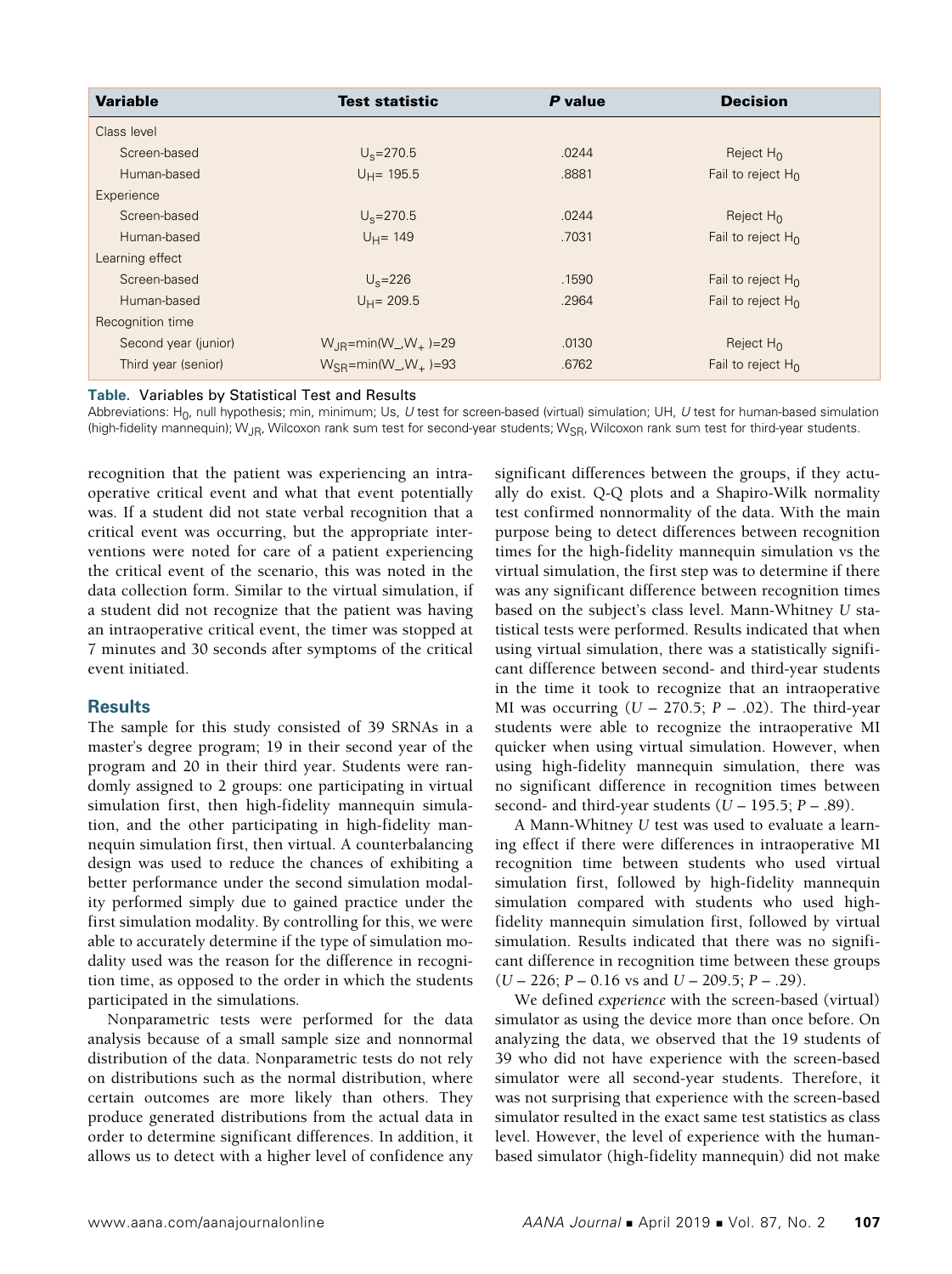| <b>Variable</b>      | <b>Test statistic</b>                                   | P value | <b>Decision</b>      |
|----------------------|---------------------------------------------------------|---------|----------------------|
| Class level          |                                                         |         |                      |
| Screen-based         | $U_s = 270.5$                                           | .0244   | Reject $H_0$         |
| Human-based          | $U_H$ = 195.5                                           | .8881   | Fail to reject $H_0$ |
| Experience           |                                                         |         |                      |
| Screen-based         | $U_s = 270.5$                                           | .0244   | Reject $H_0$         |
| Human-based          | $U_H = 149$                                             | .7031   | Fail to reject $H_0$ |
| Learning effect      |                                                         |         |                      |
| Screen-based         | $U_s = 226$                                             | .1590   | Fail to reject $H_0$ |
| Human-based          | $U_H = 209.5$                                           | .2964   | Fail to reject $H_0$ |
| Recognition time     |                                                         |         |                      |
| Second year (junior) | $W_{IR}$ =min(W_,W <sub>+</sub> )=29                    | .0130   | Reject $H_0$         |
| Third year (senior)  | $W_{\text{SR}} = min(W_{\text{N}} - W_{\text{N}}) = 93$ | .6762   | Fail to reject $H_0$ |

### **Table.** Variables by Statistical Test and Results

Abbreviations: H0, null hypothesis; min, minimum; Us, *U* test for screen-based (virtual) simulation; UH, *U* test for human-based simulation (high-fidelity mannequin); W<sub>JR</sub>, Wilcoxon rank sum test for second-year students; W<sub>SR</sub>, Wilcoxon rank sum test for third-year students.

recognition that the patient was experiencing an intraoperative critical event and what that event potentially was. If a student did not state verbal recognition that a critical event was occurring, but the appropriate interventions were noted for care of a patient experiencing the critical event of the scenario, this was noted in the data collection form. Similar to the virtual simulation, if a student did not recognize that the patient was having an intraoperative critical event, the timer was stopped at 7 minutes and 30 seconds after symptoms of the critical event initiated.

## **Results**

The sample for this study consisted of 39 SRNAs in a master's degree program; 19 in their second year of the program and 20 in their third year. Students were randomly assigned to 2 groups: one participating in virtual simulation first, then high-fidelity mannequin simulation, and the other participating in high-fidelity mannequin simulation first, then virtual. A counterbalancing design was used to reduce the chances of exhibiting a better performance under the second simulation modality performed simply due to gained practice under the first simulation modality. By controlling for this, we were able to accurately determine if the type of simulation modality used was the reason for the difference in recognition time, as opposed to the order in which the students participated in the simulations.

Nonparametric tests were performed for the data analysis because of a small sample size and nonnormal distribution of the data. Nonparametric tests do not rely on distributions such as the normal distribution, where certain outcomes are more likely than others. They produce generated distributions from the actual data in order to determine significant differences. In addition, it allows us to detect with a higher level of confidence any

significant differences between the groups, if they actually do exist. Q-Q plots and a Shapiro-Wilk normality test confirmed nonnormality of the data. With the main purpose being to detect differences between recognition times for the high-fidelity mannequin simulation vs the virtual simulation, the first step was to determine if there was any significant difference between recognition times based on the subject's class level. Mann-Whitney *U* statistical tests were performed. Results indicated that when using virtual simulation, there was a statistically significant difference between second- and third-year students in the time it took to recognize that an intraoperative MI was occurring  $(U - 270.5; P - .02)$ . The third-year students were able to recognize the intraoperative MI quicker when using virtual simulation. However, when using high-fidelity mannequin simulation, there was no significant difference in recognition times between second- and third-year students (*U* – 195.5; *P* – .89).

A Mann-Whitney *U* test was used to evaluate a learning effect if there were differences in intraoperative MI recognition time between students who used virtual simulation first, followed by high-fidelity mannequin simulation compared with students who used highfidelity mannequin simulation first, followed by virtual simulation. Results indicated that there was no significant difference in recognition time between these groups (*U* – 226; *P* – 0.16 vs and *U* – 209.5; *P* – .29).

We defined *experience* with the screen-based (virtual) simulator as using the device more than once before. On analyzing the data, we observed that the 19 students of 39 who did not have experience with the screen-based simulator were all second-year students. Therefore, it was not surprising that experience with the screen-based simulator resulted in the exact same test statistics as class level. However, the level of experience with the humanbased simulator (high-fidelity mannequin) did not make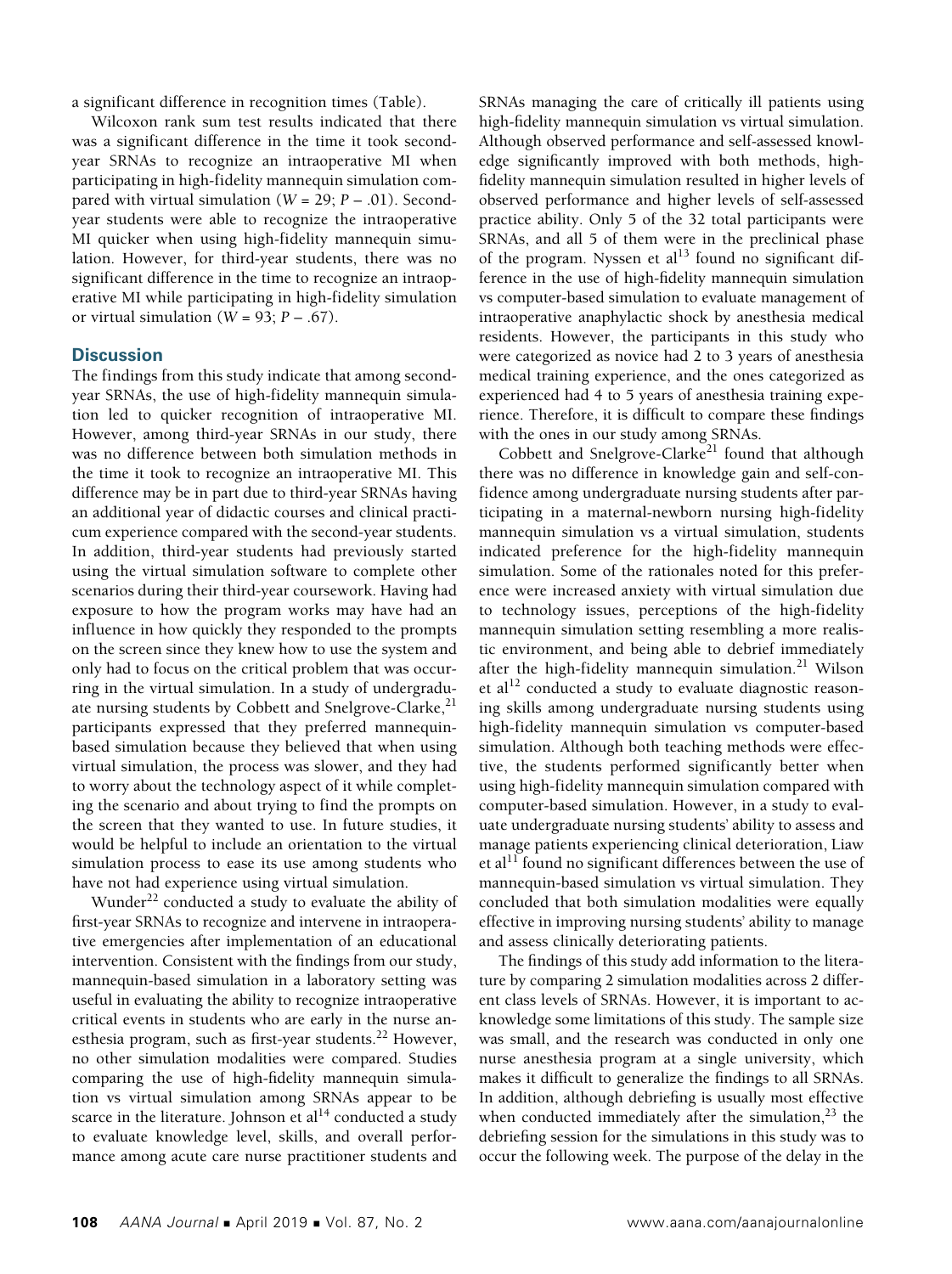a significant difference in recognition times (Table).

Wilcoxon rank sum test results indicated that there was a significant difference in the time it took secondyear SRNAs to recognize an intraoperative MI when participating in high-fidelity mannequin simulation compared with virtual simulation (*W* = 29; *P* – .01). Secondyear students were able to recognize the intraoperative MI quicker when using high-fidelity mannequin simulation. However, for third-year students, there was no significant difference in the time to recognize an intraoperative MI while participating in high-fidelity simulation or virtual simulation (*W* = 93; *P* – .67).

## **Discussion**

The findings from this study indicate that among secondyear SRNAs, the use of high-fidelity mannequin simulation led to quicker recognition of intraoperative MI. However, among third-year SRNAs in our study, there was no difference between both simulation methods in the time it took to recognize an intraoperative MI. This difference may be in part due to third-year SRNAs having an additional year of didactic courses and clinical practicum experience compared with the second-year students. In addition, third-year students had previously started using the virtual simulation software to complete other scenarios during their third-year coursework. Having had exposure to how the program works may have had an influence in how quickly they responded to the prompts on the screen since they knew how to use the system and only had to focus on the critical problem that was occurring in the virtual simulation. In a study of undergraduate nursing students by Cobbett and Snelgrove-Clarke, $^{21}$ participants expressed that they preferred mannequinbased simulation because they believed that when using virtual simulation, the process was slower, and they had to worry about the technology aspect of it while completing the scenario and about trying to find the prompts on the screen that they wanted to use. In future studies, it would be helpful to include an orientation to the virtual simulation process to ease its use among students who have not had experience using virtual simulation.

Wunder<sup>22</sup> conducted a study to evaluate the ability of first-year SRNAs to recognize and intervene in intraoperative emergencies after implementation of an educational intervention. Consistent with the findings from our study, mannequin-based simulation in a laboratory setting was useful in evaluating the ability to recognize intraoperative critical events in students who are early in the nurse anesthesia program, such as first-year students.<sup>22</sup> However, no other simulation modalities were compared. Studies comparing the use of high-fidelity mannequin simulation vs virtual simulation among SRNAs appear to be scarce in the literature. Johnson et  $al<sup>14</sup>$  conducted a study to evaluate knowledge level, skills, and overall performance among acute care nurse practitioner students and SRNAs managing the care of critically ill patients using high-fidelity mannequin simulation vs virtual simulation. Although observed performance and self-assessed knowledge significantly improved with both methods, highfidelity mannequin simulation resulted in higher levels of observed performance and higher levels of self-assessed practice ability. Only 5 of the 32 total participants were SRNAs, and all 5 of them were in the preclinical phase of the program. Nyssen et al $^{13}$  found no significant difference in the use of high-fidelity mannequin simulation vs computer-based simulation to evaluate management of intraoperative anaphylactic shock by anesthesia medical residents. However, the participants in this study who were categorized as novice had 2 to 3 years of anesthesia medical training experience, and the ones categorized as experienced had 4 to 5 years of anesthesia training experience. Therefore, it is difficult to compare these findings with the ones in our study among SRNAs.

Cobbett and Snelgrove-Clarke<sup>21</sup> found that although there was no difference in knowledge gain and self-confidence among undergraduate nursing students after participating in a maternal-newborn nursing high-fidelity mannequin simulation vs a virtual simulation, students indicated preference for the high-fidelity mannequin simulation. Some of the rationales noted for this preference were increased anxiety with virtual simulation due to technology issues, perceptions of the high-fidelity mannequin simulation setting resembling a more realistic environment, and being able to debrief immediately after the high-fidelity mannequin simulation.<sup>21</sup> Wilson et al<sup>12</sup> conducted a study to evaluate diagnostic reasoning skills among undergraduate nursing students using high-fidelity mannequin simulation vs computer-based simulation. Although both teaching methods were effective, the students performed significantly better when using high-fidelity mannequin simulation compared with computer-based simulation. However, in a study to evaluate undergraduate nursing students' ability to assess and manage patients experiencing clinical deterioration, Liaw et al<sup>11</sup> found no significant differences between the use of mannequin-based simulation vs virtual simulation. They concluded that both simulation modalities were equally effective in improving nursing students' ability to manage and assess clinically deteriorating patients.

The findings of this study add information to the literature by comparing 2 simulation modalities across 2 different class levels of SRNAs. However, it is important to acknowledge some limitations of this study. The sample size was small, and the research was conducted in only one nurse anesthesia program at a single university, which makes it difficult to generalize the findings to all SRNAs. In addition, although debriefing is usually most effective when conducted immediately after the simulation, $^{23}$  the debriefing session for the simulations in this study was to occur the following week. The purpose of the delay in the